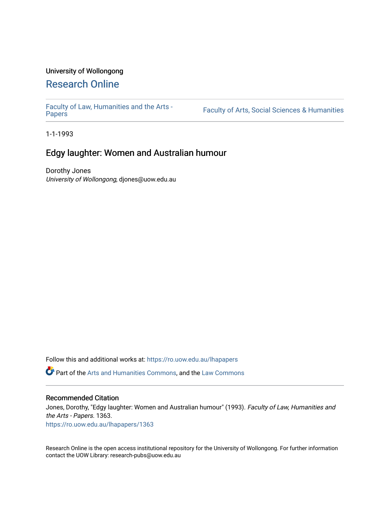# University of Wollongong

# [Research Online](https://ro.uow.edu.au/)

[Faculty of Law, Humanities and the Arts -](https://ro.uow.edu.au/lhapapers)

Faculty of Arts, Social Sciences & Humanities

1-1-1993

# Edgy laughter: Women and Australian humour

Dorothy Jones University of Wollongong, djones@uow.edu.au

Follow this and additional works at: [https://ro.uow.edu.au/lhapapers](https://ro.uow.edu.au/lhapapers?utm_source=ro.uow.edu.au%2Flhapapers%2F1363&utm_medium=PDF&utm_campaign=PDFCoverPages) 

Part of the [Arts and Humanities Commons,](http://network.bepress.com/hgg/discipline/438?utm_source=ro.uow.edu.au%2Flhapapers%2F1363&utm_medium=PDF&utm_campaign=PDFCoverPages) and the [Law Commons](http://network.bepress.com/hgg/discipline/578?utm_source=ro.uow.edu.au%2Flhapapers%2F1363&utm_medium=PDF&utm_campaign=PDFCoverPages) 

#### Recommended Citation

Jones, Dorothy, "Edgy laughter: Women and Australian humour" (1993). Faculty of Law, Humanities and the Arts - Papers. 1363.

[https://ro.uow.edu.au/lhapapers/1363](https://ro.uow.edu.au/lhapapers/1363?utm_source=ro.uow.edu.au%2Flhapapers%2F1363&utm_medium=PDF&utm_campaign=PDFCoverPages)

Research Online is the open access institutional repository for the University of Wollongong. For further information contact the UOW Library: research-pubs@uow.edu.au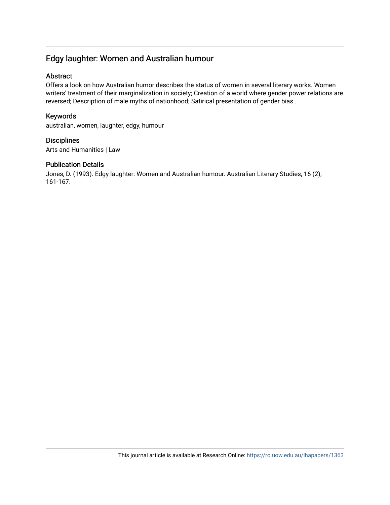# Edgy laughter: Women and Australian humour

### Abstract

Offers a look on how Australian humor describes the status of women in several literary works. Women writers' treatment of their marginalization in society; Creation of a world where gender power relations are reversed; Description of male myths of nationhood; Satirical presentation of gender bias..

## Keywords

australian, women, laughter, edgy, humour

**Disciplines** Arts and Humanities | Law

#### Publication Details

Jones, D. (1993). Edgy laughter: Women and Australian humour. Australian Literary Studies, 16 (2), 161-167.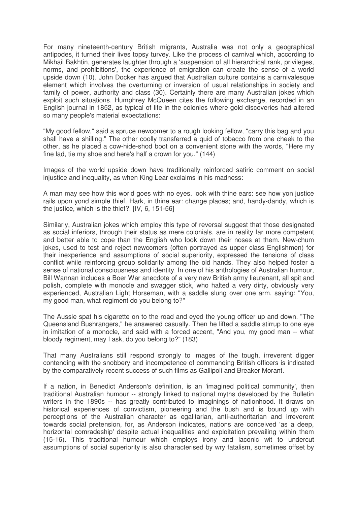For many nineteenth-century British migrants, Australia was not only a geographical antipodes, it turned their lives topsy turvey. Like the process of carnival which, according to Mikhail Bakhtin, generates laughter through a 'suspension of all hierarchical rank, privileges, norms, and prohibitions', the experience of emigration can create the sense of a world upside down (10). John Docker has arqued that Australian culture contains a carnivalesque element which involves the overturning or inversion of usual relationships in society and family of power, authority and class (30). Certainly there are many Australian jokes which exploit such situations. Humphrey McQueen cites the following exchange, recorded in an English journal in 1852, as typical of life in the colonies where gold discoveries had altered so many people's material expectations:

"My good fellow," said a spruce newcomer to a rough looking fellow, "carry this bag and you shall have a shilling." The other coolly transferred a quid of tobacco from one cheek to the other, as he placed a cow-hide-shod boot on a convenient stone with the words, "Here my fine lad, tie my shoe and here's half a crown for you." (144)

Images of the world upside down have traditionally reinforced satiric comment on social injustice and inequality, as when King Lear exclaims in his madness:

A man may see how this world goes with no eyes. look with thine ears: see how yon justice rails upon yond simple thief. Hark, in thine ear: change places; and, handy-dandy, which is the justice, which is the thief?. [IV, 6, 151-56]

Similarly, Australian jokes which employ this type of reversal suggest that those designated as social inferiors, through their status as mere colonials, are in reality far more competent and better able to cope than the English who look down their noses at them. New-chum jokes, used to test and reject newcomers (often portrayed as upper class Englishmen) for their inexperience and assumptions of social superiority, expressed the tensions of class conflict while reinforcing group solidarity among the old hands. They also helped foster a sense of national consciousness and identity. In one of his anthologies of Australian humour, Bill Wannan includes a Boer War anecdote of a very new British army lieutenant, all spit and polish, complete with monocle and swagger stick, who halted a very dirty, obviously very experienced, Australian Light Horseman, with a saddle slung over one arm, saying: "You, my good man, what regiment do you belong to?"

The Aussie spat his cigarette on to the road and eyed the young officer up and down. "The Queensland Bushrangers," he answered casually. Then he lifted a saddle stirrup to one eye in imitation of a monocle, and said with a forced accent, "And you, my good man -- what bloody regiment, may I ask, do you belong to?" (183)

That many Australians still respond strongly to images of the tough, irreverent digger contending with the snobbery and incompetence of commanding British officers is indicated by the comparatively recent success of such films as Gallipoli and Breaker Morant.

If a nation, in Benedict Anderson's definition, is an 'imagined political community', then traditional Australian humour -- strongly linked to national myths developed by the Bulletin writers in the 1890s -- has greatly contributed to imaginings of nationhood. It draws on historical experiences of convictism, pioneering and the bush and is bound up with perceptions of the Australian character as egalitarian, anti-authoritarian and irreverent towards social pretension, for, as Anderson indicates, nations are conceived 'as a deep, horizontal comradeship' despite actual inequalities and exploitation prevailing within them (15-16). This traditional humour which employs irony and laconic wit to undercut assumptions of social superiority is also characterised by wry fatalism, sometimes offset by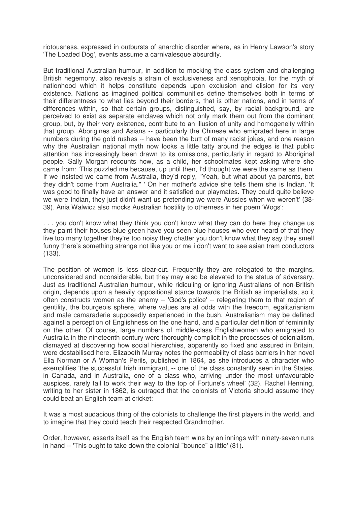riotousness, expressed in outbursts of anarchic disorder where, as in Henry Lawson's story 'The Loaded Dog', events assume a carnivalesque absurdity.

But traditional Australian humour, in addition to mocking the class system and challenging British hegemony, also reveals a strain of exclusiveness and xenophobia, for the myth of nationhood which it helps constitute depends upon exclusion and elision for its very existence. Nations as imagined political communities define themselves both in terms of their differentness to what lies beyond their borders, that is other nations, and in terms of differences within, so that certain groups, distinguished, say, by racial background, are perceived to exist as separate enclaves which not only mark them out from the dominant group, but, by their very existence, contribute to an illusion of unity and homogeneity within that group. Aborigines and Asians -- particularly the Chinese who emigrated here in large numbers during the gold rushes -- have been the butt of many racist jokes, and one reason why the Australian national myth now looks a little tatty around the edges is that public attention has increasingly been drawn to its omissions, particularly in regard to Aboriginal people. Sally Morgan recounts how, as a child, her schoolmates kept asking where she came from: 'This puzzled me because, up until then, I'd thought we were the same as them. If we insisted we came from Australia, they'd reply, "Yeah, but what about ya parents, bet they didn't come from Australia." ' On her mother's advice she tells them she is Indian. 'It was good to finally have an answer and it satisfied our playmates. They could quite believe we were Indian, they just didn't want us pretending we were Aussies when we weren't' (38- 39). Ania Walwicz also mocks Australian hostility to otherness in her poem 'Wogs':

. . . you don't know what they think you don't know what they can do here they change us they paint their houses blue green have you seen blue houses who ever heard of that they live too many together they're too noisy they chatter you don't know what they say they smell funny there's something strange not like you or me i don't want to see asian tram conductors (133).

The position of women is less clear-cut. Frequently they are relegated to the margins, unconsidered and inconsiderable, but they may also be elevated to the status of adversary. Just as traditional Australian humour, while ridiculing or ignoring Australians of non-British origin, depends upon a heavily oppositional stance towards the British as imperialists, so it often constructs women as the enemy -- 'God's police' -- relegating them to that region of gentility, the bourgeois sphere, where values are at odds with the freedom, egalitarianism and male camaraderie supposedly experienced in the bush. Australianism may be defined against a perception of Englishness on the one hand, and a particular definition of femininity on the other. Of course, large numbers of middle-class Englishwomen who emigrated to Australia in the nineteenth century were thoroughly complicit in the processes of colonialism, dismayed at discovering how social hierarchies, apparently so fixed and assured in Britain, were destabilised here. Elizabeth Murray notes the permeability of class barriers in her novel Ella Norman or A Woman's Perils, published in 1864, as she introduces a character who exemplifies 'the successful Irish immigrant, -- one of the class constantly seen in the States, in Canada, and in Australia, one of a class who, arriving under the most unfavourable auspices, rarely fail to work their way to the top of Fortune's wheel' (32). Rachel Henning, writing to her sister in 1862, is outraged that the colonists of Victoria should assume they could beat an English team at cricket:

It was a most audacious thing of the colonists to challenge the first players in the world, and to imagine that they could teach their respected Grandmother.

Order, however, asserts itself as the English team wins by an innings with ninety-seven runs in hand -- 'This ought to take down the colonial "bounce" a little' (81).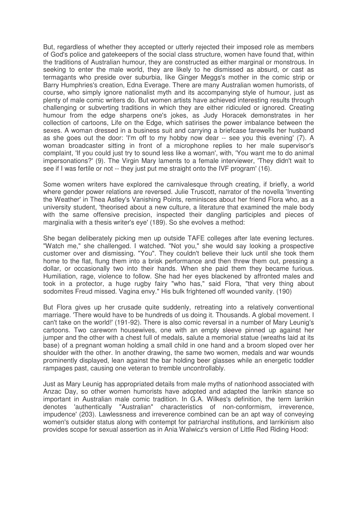But, regardless of whether they accepted or utterly rejected their imposed role as members of God's police and gatekeepers of the social class structure, women have found that, within the traditions of Australian humour, they are constructed as either marginal or monstrous. In seeking to enter the male world, they are likely to he dismissed as absurd, or cast as termagants who preside over suburbia, like Ginger Meggs's mother in the comic strip or Barry Humphries's creation, Edna Everage. There are many Australian women humorists, of course, who simply ignore nationalist myth and its accompanying style of humour, just as plenty of male comic writers do. But women artists have achieved interesting results through challenging or subverting traditions in which they are either ridiculed or ignored. Creating humour from the edge sharpens one's jokes, as Judy Horacek demonstrates in her collection of cartoons, Life on the Edge, which satirises the power imbalance between the sexes. A woman dressed in a business suit and carrying a briefcase farewells her husband as she goes out the door: 'I'm off to my hobby now dear -- see you this evening' (7). A woman broadcaster sitting in front of a microphone replies to her male supervisor's complaint, 'If you could just try to sound less like a woman', with, 'You want me to do animal impersonations?' (9). The Virgin Mary laments to a female interviewer, 'They didn't wait to see if I was fertile or not -- they just put me straight onto the IVF program' (16).

Some women writers have explored the carnivalesque through creating, if briefly, a world where gender power relations are reversed. Julie Truscott, narrator of the novella 'Inventing the Weather' in Thea Astley's Vanishing Points, reminisces about her friend Flora who, as a university student, 'theorised about a new culture, a literature that examined the male body with the same offensive precision, inspected their dangling participles and pieces of marginalia with a thesis writer's eye' (189). So she evolves a method:

She began deliberately picking men up outside TAFE colleges after late evening lectures. "Watch me," she challenged. I watched. "Not you," she would say looking a prospective customer over and dismissing. "You". They couldn't believe their luck until she took them home to the flat, flung them into a brisk performance and then threw them out, pressing a dollar, or occasionally two into their hands. When she paid them they became furious. Humiliation, rage, violence to follow. She had her eyes blackened by affronted males and took in a protector, a huge rugby fairy "who has," said Flora, "that very thing about sodomites Freud missed. Vagina envy." His bulk frightened off wounded vanity. (190)

But Flora gives up her crusade quite suddenly, retreating into a relatively conventional marriage. 'There would have to be hundreds of us doing it. Thousands. A global movement. I can't take on the world!' (191-92). There is also comic reversal in a number of Mary Leunig's cartoons. Two careworn housewives, one with an empty sleeve pinned up against her jumper and the other with a chest full of medals, salute a memorial statue (wreaths laid at its base) of a pregnant woman holding a small child in one hand and a broom sloped over her shoulder with the other. In another drawing, the same two women, medals and war wounds prominently displayed, lean against the bar holding beer glasses while an energetic toddler rampages past, causing one veteran to tremble uncontrollably.

Just as Mary Leunig has appropriated details from male myths of nationhood associated with Anzac Day, so other women humorists have adopted and adapted the larrikin stance so important in Australian male comic tradition. In G.A. Wilkes's definition, the term larrikin denotes 'authentically "Australian" characteristics of non-conformism, irreverence, impudence' (203). Lawlessness and irreverence combined can be an apt way of conveying women's outsider status along with contempt for patriarchal institutions, and larrikinism also provides scope for sexual assertion as in Ania Walwicz's version of Little Red Riding Hood: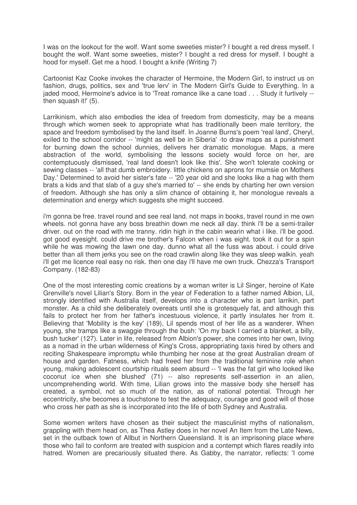I was on the lookout for the wolf. Want some sweeties mister? I bought a red dress myself. I bought the wolf. Want some sweeties, mister? I bought a red dress for myself. I bought a hood for myself. Get me a hood. I bought a knife (Writing 7)

Cartoonist Kaz Cooke invokes the character of Hermoine, the Modern Girl, to instruct us on fashion, drugs, politics, sex and 'true lerv' in The Modern Girl's Guide to Everything. In a jaded mood, Hermoine's advice is to 'Treat romance like a cane toad . . . Study it furtively - then squash it!' (5).

Larrikinism, which also embodies the idea of freedom from domesticity, may be a means through which women seek to appropriate what has traditionally been male territory, the space and freedom symbolised by the land itself. In Joanne Burns's poem 'real land', Cheryl, exiled to the school corridor -- 'might as well be in Siberia' -to draw maps as a punishment for burning down the school dunnies, delivers her dramatic monologue. Maps, a mere abstraction of the world, symbolising the lessons society would force on her, are contemptuously dismissed, 'real land doesn't look like this'. She won't tolerate cooking or sewing classes -- 'all that dumb embroidery. little chickens on aprons for mumsie on Mothers Day.' Determined to avoid her sister's fate -- '20 year old and she looks like a hag with them brats a kids and that slab of a guy she's married to' -- she ends by charting her own version of freedom. Although she has only a slim chance of obtaining it, her monologue reveals a determination and energy which suggests she might succeed.

i'm gonna be free. travel round and see real land. not maps in books, travel round in me own wheels. not gonna have any boss breathin down me neck all day. think i'll be a semi-trailer driver. out on the road with me tranny. ridin high in the cabin wearin what i like. i'll be good. got good eyesight. could drive me brother's Falcon when i was eight. took it out for a spin while he was mowing the lawn one day. dunno what all the fuss was about. i could drive better than all them jerks you see on the road crawlin along like they was sleep walkin. yeah i'll get me licence real easy no risk. then one day i'll have me own truck. Chezza's Transport Company. (182-83)

One of the most interesting comic creations by a woman writer is Lil Singer, heroine of Kate Grenville's novel Lilian's Story. Born in the year of Federation to a father named Albion, Lil, strongly identified with Australia itself, develops into a character who is part larrikin, part monster. As a child she deliberately overeats until she is grotesquely fat, and although this fails to protect her from her father's incestuous violence, it partly insulates her from it. Believing that 'Mobility is the key' (189), Lil spends most of her life as a wanderer. When young, she tramps like a swaggie through the bush: 'On my back I carried a blanket, a billy, bush tucker' (127). Later in life, released from Albion's power, she comes into her own, living as a nomad in the urban wilderness of King's Cross, appropriating taxis hired by others and reciting Shakespeare impromptu while thumbing her nose at the great Australian dream of house and garden. Fatness, which had freed her from the traditional feminine role when young, making adolescent courtship rituals seem absurd -- 'I was the fat girl who looked like coconut ice when she blushed' (71) -- also represents self-assertion in an alien, uncomprehending world. With time, Lilian grows into the massive body she herself has created, a symbol, not so much of the nation, as of national potential. Through her eccentricity, she becomes a touchstone to test the adequacy, courage and good will of those who cross her path as she is incorporated into the life of both Sydney and Australia.

Some women writers have chosen as their subject the masculinist myths of nationalism, grappling with them head on, as Thea Astley does in her novel An Item from the Late News, set in the outback town of Allbut in Northern Queensland. It is an imprisoning place where those who fail to conform are treated with suspicion and a contempt which flares readily into hatred. Women are precariously situated there. As Gabby, the narrator, reflects: 'I come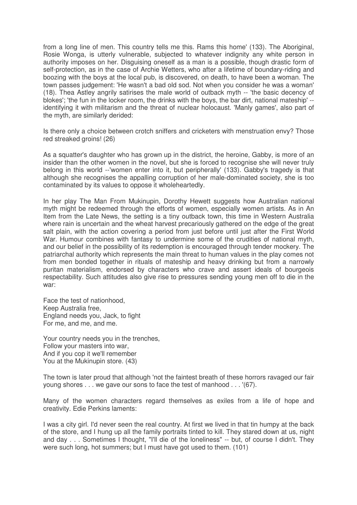from a long line of men. This country tells me this. Rams this home' (133). The Aboriginal, Rosie Wonga, is utterly vulnerable, subjected to whatever indignity any white person in authority imposes on her. Disguising oneself as a man is a possible, though drastic form of self-protection, as in the case of Archie Wetters, who after a lifetime of boundary-riding and boozing with the boys at the local pub, is discovered, on death, to have been a woman. The town passes judgement: 'He wasn't a bad old sod. Not when you consider he was a woman' (18). Thea Astley angrily satirises the male world of outback myth -- 'the basic decency of blokes'; 'the fun in the locker room, the drinks with the boys, the bar dirt, national mateship' - identifying it with militarism and the threat of nuclear holocaust. 'Manly games', also part of the myth, are similarly derided:

Is there only a choice between crotch sniffers and cricketers with menstruation envy? Those red streaked groins! (26)

As a squatter's daughter who has grown up in the district, the heroine, Gabby, is more of an insider than the other women in the novel, but she is forced to recognise she will never truly belong in this world --'women enter into it, but peripherally' (133). Gabby's tragedy is that although she recognises the appalling corruption of her male-dominated society, she is too contaminated by its values to oppose it wholeheartedly.

In her play The Man From Mukinupin, Dorothy Hewett suggests how Australian national myth might be redeemed through the efforts of women, especially women artists. As in An Item from the Late News, the setting is a tiny outback town, this time in Western Australia where rain is uncertain and the wheat harvest precariously gathered on the edge of the great salt plain, with the action covering a period from just before until just after the First World War. Humour combines with fantasy to undermine some of the crudities of national myth, and our belief in the possibility of its redemption is encouraged through tender mockery. The patriarchal authority which represents the main threat to human values in the play comes not from men bonded together in rituals of mateship and heavy drinking but from a narrowly puritan materialism, endorsed by characters who crave and assert ideals of bourgeois respectability. Such attitudes also give rise to pressures sending young men off to die in the war:

Face the test of nationhood, Keep Australia free, England needs you, Jack, to fight For me, and me, and me.

Your country needs you in the trenches, Follow your masters into war, And if you cop it we'll remember You at the Mukinupin store. (43)

The town is later proud that although 'not the faintest breath of these horrors ravaged our fair young shores . . . we gave our sons to face the test of manhood . . . '(67).

Many of the women characters regard themselves as exiles from a life of hope and creativity. Edie Perkins laments:

I was a city girl. I'd never seen the real country. At first we lived in that tin humpy at the back of the store, and I hung up all the family portraits tinted to kill. They stared down at us, night and day . . . Sometimes I thought, "I'll die of the loneliness" -- but, of course I didn't. They were such long, hot summers; but I must have got used to them. (101)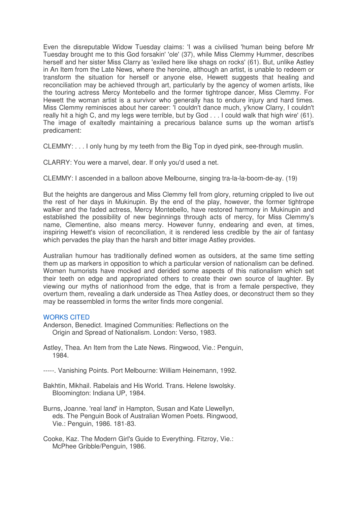Even the disreputable Widow Tuesday claims: 'I was a civilised 'human being before Mr Tuesday brought me to this God forsakin' 'ole' (37), while Miss Clemmy Hummer, describes herself and her sister Miss Clarry as 'exiled here like shags on rocks' (61). But, unlike Astley in An Item from the Late News, where the heroine, although an artist, is unable to redeem or transform the situation for herself or anyone else, Hewett suggests that healing and reconciliation may be achieved through art, particularly by the agency of women artists, like the touring actress Mercy Montebello and the former tightrope dancer, Miss Clemmy. For Hewett the woman artist is a survivor who generally has to endure injury and hard times. Miss Clemmy reminisces about her career: 'I couldn't dance much, y'know Clarry, I couldn't really hit a high C, and my legs were terrible, but by God . . . I could walk that high wire' (61). The image of exaltedly maintaining a precarious balance sums up the woman artist's predicament:

CLEMMY: . . . I only hung by my teeth from the Big Top in dyed pink, see-through muslin.

CLARRY: You were a marvel, dear. If only you'd used a net.

CLEMMY: I ascended in a balloon above Melbourne, singing tra-la-la-boom-de-ay. (19)

But the heights are dangerous and Miss Clemmy fell from glory, returning crippled to live out the rest of her days in Mukinupin. By the end of the play, however, the former tightrope walker and the faded actress, Mercy Montebello, have restored harmony in Mukinupin and established the possibility of new beginnings through acts of mercy, for Miss Clemmy's name, Clementine, also means mercy. However funny, endearing and even, at times, inspiring Hewett's vision of reconciliation, it is rendered less credible by the air of fantasy which pervades the play than the harsh and bitter image Astley provides.

Australian humour has traditionally defined women as outsiders, at the same time setting them up as markers in opposition to which a particular version of nationalism can be defined. Women humorists have mocked and derided some aspects of this nationalism which set their teeth on edge and appropriated others to create their own source of laughter. By viewing our myths of nationhood from the edge, that is from a female perspective, they overturn them, revealing a dark underside as Thea Astley does, or deconstruct them so they may be reassembled in forms the writer finds more congenial.

## WORKS CITED

- Anderson, Benedict. Imagined Communities: Reflections on the Origin and Spread of Nationalism. London: Verso, 1983.
- Astley, Thea. An Item from the Late News. Ringwood, Vie.: Penguin, 1984.
- -----. Vanishing Points. Port Melbourne: William Heinemann, 1992.
- Bakhtin, Mikhail. Rabelais and His World. Trans. Helene Iswolsky. Bloomington: Indiana UP, 1984.
- Burns, Joanne. 'real land' in Hampton, Susan and Kate Llewellyn, eds. The Penguin Book of Australian Women Poets. Ringwood, Vie.: Penguin, 1986. 181-83.
- Cooke, Kaz. The Modern Girl's Guide to Everything. Fitzroy, Vie.: McPhee Gribble/Penguin, 1986.